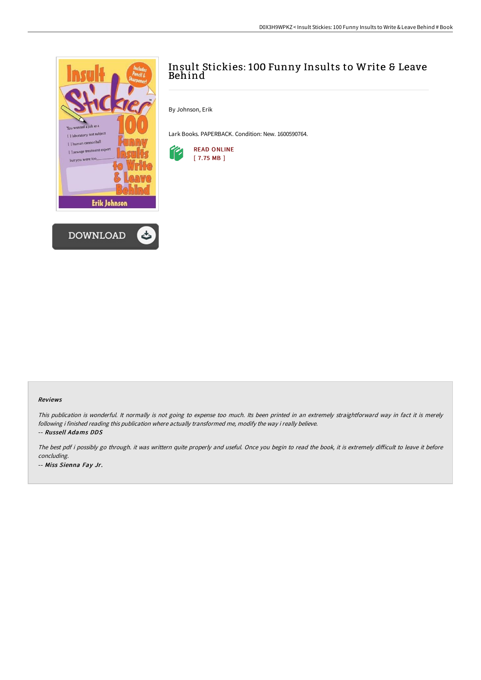



## Insult Stickies: 100 Funny Insults to Write & Leave Behind

By Johnson, Erik

Lark Books. PAPERBACK. Condition: New. 1600590764.



## Reviews

This publication is wonderful. It normally is not going to expense too much. Its been printed in an extremely straightforward way in fact it is merely following i finished reading this publication where actually transformed me, modify the way i really believe. -- Russell Adams DDS

The best pdf i possibly go through. it was writtern quite properly and useful. Once you begin to read the book, it is extremely difficult to leave it before concluding. -- Miss Sienna Fay Jr.